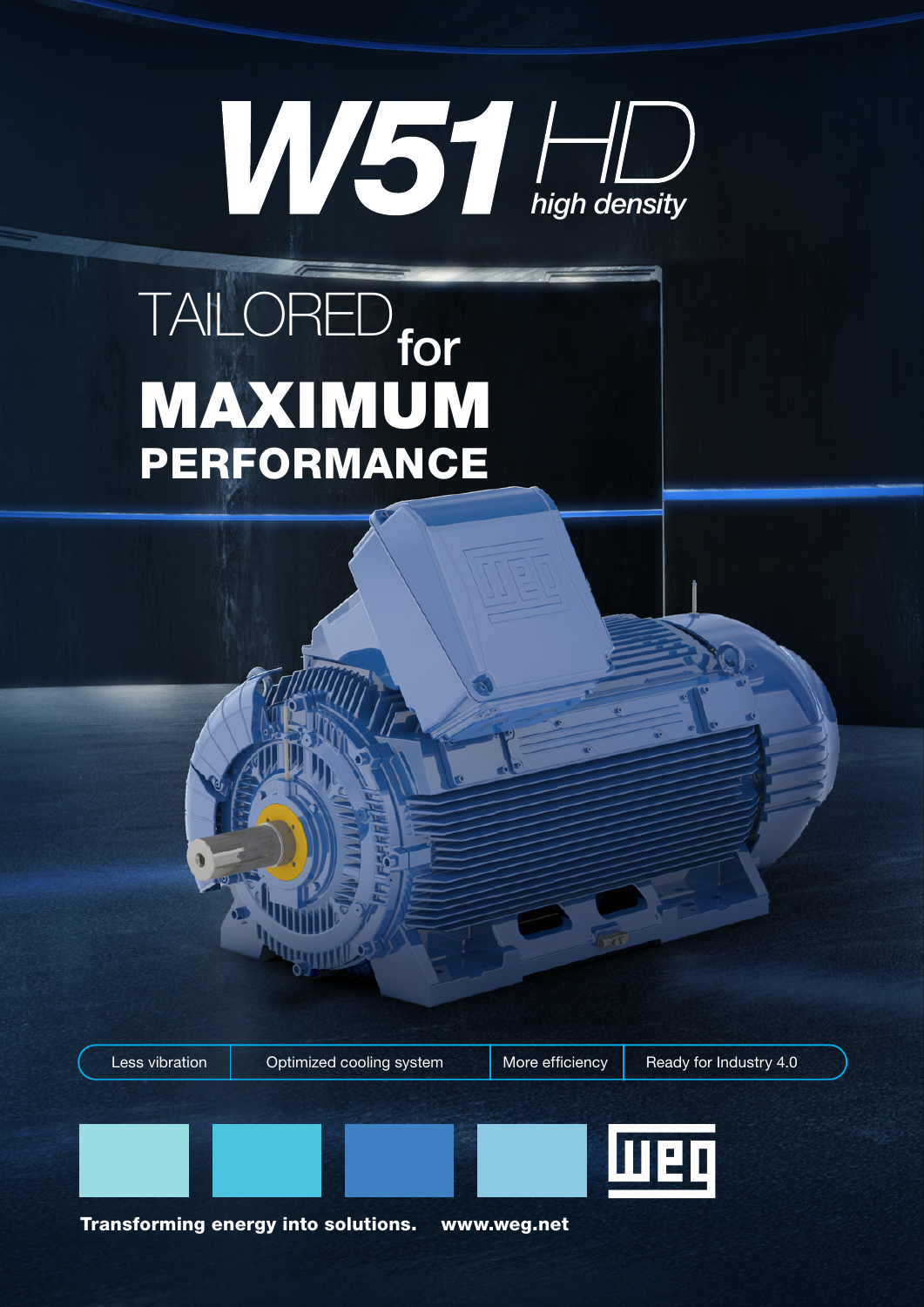# **high density**

### MAXIMUM PERFORMANCE TAILORED for

Less vibration | Optimized cooling system | More efficiency | Ready for Industry 4.0

Transforming energy into solutions. www.weg.net